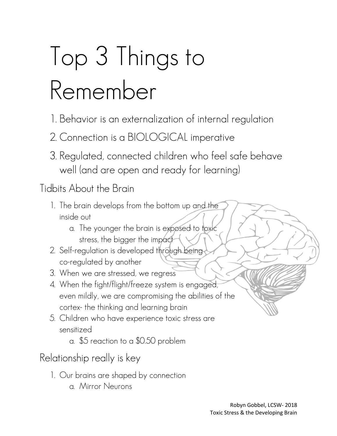# Top 3 Things to Remember

- 1. Behavior is an externalization of internal regulation
- 2. Connection is a BIOLOGICAL imperative
- 3. Regulated, connected children who feel safe behave well (and are open and ready for learning)

Tidbits About the Brain

- 1. The brain develops from the bottom up and the inside out
	- a. The younger the brain is exposed to toxic stress, the bigger the impact
- 2. Self-regulation is developed through being co-regulated by another
- 3. When we are stressed, we regress
- 4. When the fight/flight/freeze system is engaged, even mildly, we are compromising the abilities of the cortex- the thinking and learning brain
- 5. Children who have experience toxic stress are sensitized
	- a. \$5 reaction to a \$0.50 problem

Relationship really is key

- 1. Our brains are shaped by connection
	- a. Mirror Neurons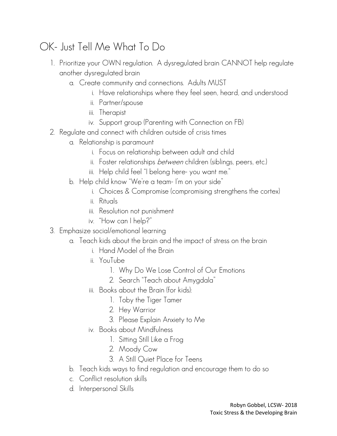## OK- Just Tell Me What To Do

- 1. Prioritize your OWN regulation. A dysregulated brain CANNOT help regulate another dysregulated brain
	- a. Create community and connections. Adults MUST
		- i. Have relationships where they feel seen, heard, and understood
		- ii. Partner/spouse
		- iii. Therapist
		- iv. Support group (Parenting with Connection on FB)
- 2. Regulate and connect with children outside of crisis times
	- a. Relationship is paramount
		- i. Focus on relationship between adult and child
		- ii. Foster relationships between children (siblings, peers, etc.)
		- iii. Help child feel "I belong here- you want me."
	- b. Help child know "We're a team- I'm on your side"
		- i. Choices & Compromise (compromising strengthens the cortex)
		- ii. Rituals
		- iii. Resolution not punishment
		- iv. "How can I help?"
- 3. Emphasize social/emotional learning
	- a. Teach kids about the brain and the impact of stress on the brain
		- i. Hand Model of the Brain
		- ii. YouTube
			- 1. Why Do We Lose Control of Our Emotions
			- 2. Search "Teach about Amygdala"
		- iii. Books about the Brain (for kids):
			- 1. Toby the Tiger Tamer
			- 2. Hey Warrior
			- 3. Please Explain Anxiety to Me
		- iv. Books about Mindfulness
			- 1. Sitting Still Like a Frog
			- 2. Moody Cow
			- 3. A Still Quiet Place for Teens
	- b. Teach kids ways to find regulation and encourage them to do so
	- c. Conflict resolution skills
	- d. Interpersonal Skills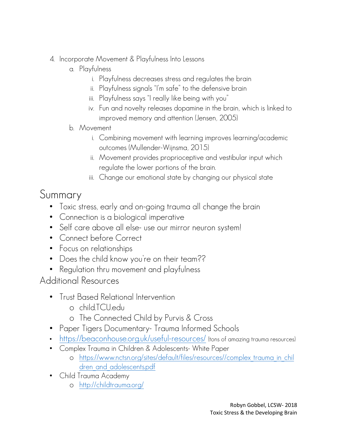- 4. Incorporate Movement & Playfulness Into Lessons
	- a. Playfulness
		- i. Playfulness decreases stress and regulates the brain
		- ii. Playfulness signals "I'm safe" to the defensive brain
		- iii. Playfulness says "I really like being with you"
		- iv. Fun and novelty releases dopamine in the brain, which is linked to improved memory and attention (Jensen, 2005)

#### b. Movement

- i. Combining movement with learning improves learning/academic outcomes (Mullender-Wijnsma, 2015)
- ii. Movement provides proprioceptive and vestibular input which regulate the lower portions of the brain.
- iii. Change our emotional state by changing our physical state

### Summary

- Toxic stress, early and on-going trauma all change the brain
- Connection is a biological imperative
- Self care above all else- use our mirror neuron system!
- Connect before Correct
- Focus on relationships
- Does the child know you're on their team??
- Regulation thru movement and playfulness

#### Additional Resources

- Trust Based Relational Intervention
	- o child.TCU.edu
	- o The Connected Child by Purvis & Cross
- Paper Tigers Documentary- Trauma Informed Schools
- <https://beaconhouse.org.uk/useful-resources/> (tons of amazing trauma resources)
- Complex Trauma in Children & Adolescents- White Paper
	- o [https://www.nctsn.org/sites/default/files/resources//complex\\_trauma\\_in\\_chil](https://www.nctsn.org/sites/default/files/resources/complex_trauma_in_children_and_adolescents.pdf) dren and adolescents.pdf
- Child Trauma Academy
	- o <http://childtrauma.org/>